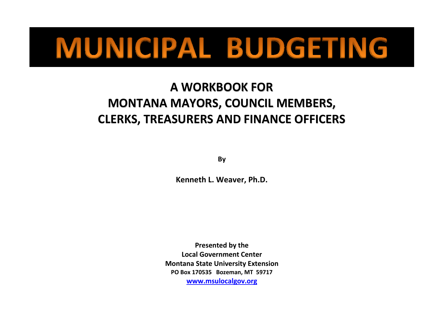# MUNICIPAL BUDGETING

# **A WORKBOOK FOR MONTANA MAYORS, COUNCIL MEMBERS, CLERKS, TREASURERS AND FINANCE OFFICERS**

**By**

**Kenneth L. Weaver, Ph.D.**

**Presented by the Local Government Center Montana State University Extension PO Box 170535 Bozeman, MT 59717 [www.msulocalgov.org](http://www.msulocalgov.org/)**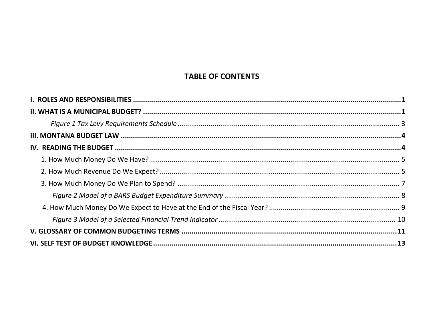# **TABLE OF CONTENTS**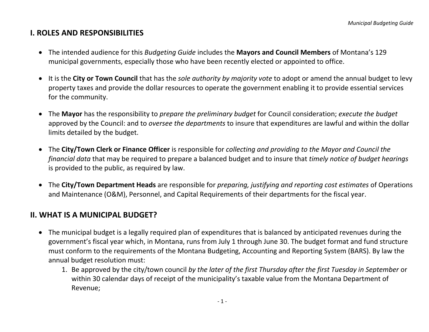# **I. ROLES AND RESPONSIBILITIES**

- The intended audience for this *Budgeting Guide* includes the **Mayors and Council Members** of Montana's 129 municipal governments, especially those who have been recently elected or appointed to office.
- It is the **City or Town Council** that has the *sole authority by majority vote* to adopt or amend the annual budget to levy property taxes and provide the dollar resources to operate the government enabling it to provide essential services for the community.
- The **Mayor** has the responsibility to *prepare the preliminary budget* for Council consideration; *execute the budget* approved by the Council: and to *oversee the departments* to insure that expenditures are lawful and within the dollar limits detailed by the budget.
- The **City/Town Clerk or Finance Officer** is responsible for *collecting and providing to the Mayor and Council the financial data* that may be required to prepare a balanced budget and to insure that *timely notice of budget hearings* is provided to the public, as required by law.
- The **City/Town Department Heads** are responsible for *preparing, justifying and reporting cost estimates* of Operations and Maintenance (O&M), Personnel, and Capital Requirements of their departments for the fiscal year.

# <span id="page-3-0"></span>**II. WHAT IS A MUNICIPAL BUDGET?**

- The municipal budget is a legally required plan of expenditures that is balanced by anticipated revenues during the government's fiscal year which, in Montana, runs from July 1 through June 30. The budget format and fund structure must conform to the requirements of the Montana Budgeting, Accounting and Reporting System (BARS). By law the annual budget resolution must:
	- 1. Be approved by the city/town council *by the later of the first Thursday after the first Tuesday in September* or within 30 calendar days of receipt of the municipality's taxable value from the Montana Department of Revenue;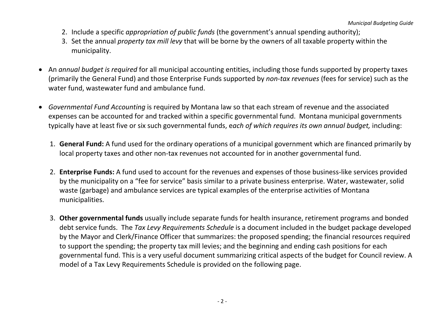- 2. Include a specific *appropriation of public funds* (the government's annual spending authority);
- 3. Set the annual *property tax mill levy* that will be borne by the owners of all taxable property within the municipality.
- An *annual budget is required* for all municipal accounting entities, including those funds supported by property taxes (primarily the General Fund) and those Enterprise Funds supported by *non-tax revenues* (fees for service) such as the water fund, wastewater fund and ambulance fund.
- <span id="page-4-0"></span>• *Governmental Fund Accounting* is required by Montana law so that each stream of revenue and the associated expenses can be accounted for and tracked within a specific governmental fund. Montana municipal governments typically have at least five or six such governmental funds, e*ach of which requires its own annual budget,* including:
	- 1. **General Fund:** A fund used for the ordinary operations of a municipal government which are financed primarily by local property taxes and other non-tax revenues not accounted for in another governmental fund.
	- 2. **Enterprise Funds:** A fund used to account for the revenues and expenses of those business-like services provided by the municipality on a "fee for service" basis similar to a private business enterprise. Water, wastewater, solid waste (garbage) and ambulance services are typical examples of the enterprise activities of Montana municipalities.
	- 3. **Other governmental funds** usually include separate funds for health insurance, retirement programs and bonded debt service funds. The *Tax Levy Requirements Schedule* is a document included in the budget package developed by the Mayor and Clerk/Finance Officer that summarizes: the proposed spending; the financial resources required to support the spending; the property tax mill levies; and the beginning and ending cash positions for each governmental fund. This is a very useful document summarizing critical aspects of the budget for Council review. A model of a Tax Levy Requirements Schedule is provided on the following page.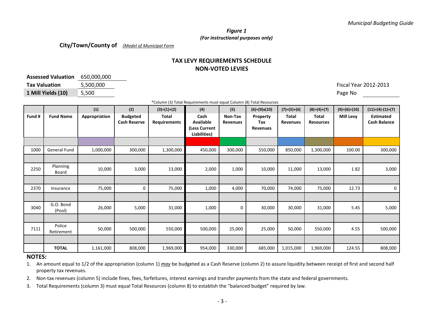#### *Figure 1 (For instructional purposes only)*

**City/Town/County of** *(Model of Municipal Form*

## **TAX LEVY REQUIREMENTS SCHEDULE NON-VOTED LEVIES**

| Assessed Valuation 650,000,000 |           |            |
|--------------------------------|-----------|------------|
| <b>Tax Valuation</b>           | 5.500.000 | Fiscal Yea |
| 1 Mill Yields (10)             | 5,500     | Page No    |

**Tax Valuation** 5,500,000 Fiscal Year 2012-2013

\*Column (3) Total Requirements must equal Column (8) Total Resources

| Fund # | <b>Fund Name</b>     | (1)<br>Appropriation | (2)<br><b>Budgeted</b> | $(3)=(1)+(2)$<br>Total | (4)<br>Cash                                | (5)<br>Non-Tax  | $(6)=(9)x(10)$<br>Property | $(7)=(5)+(6)$<br>Total | $(8)=(4)+(7)$<br><b>Total</b> | $(9)=(6)+(10)$<br><b>Mill Levy</b> | $(11)=(4)$ $(1)+(7)$<br><b>Estimated</b> |
|--------|----------------------|----------------------|------------------------|------------------------|--------------------------------------------|-----------------|----------------------------|------------------------|-------------------------------|------------------------------------|------------------------------------------|
|        |                      |                      | <b>Cash Reserve</b>    | <b>Requirements</b>    | Available<br>(Less Current<br>Liabilities) | <b>Revenues</b> | Tax<br><b>Revenues</b>     | <b>Revenues</b>        | <b>Resources</b>              |                                    | <b>Cash Balance</b>                      |
|        |                      |                      |                        |                        |                                            |                 |                            |                        |                               |                                    |                                          |
| 1000   | <b>General Fund</b>  | 1,000,000            | 300,000                | 1,300,000              | 450,000                                    | 300,000         | 550,000                    | 850,000                | 1,300,000                     | 100.00                             | 300,000                                  |
|        |                      |                      |                        |                        |                                            |                 |                            |                        |                               |                                    |                                          |
| 2250   | Planning<br>Board    | 10,000               | 3,000                  | 13,000                 | 2,000                                      | 1,000           | 10,000                     | 11,000                 | 13,000                        | 1.82                               | 3,000                                    |
|        |                      |                      |                        |                        |                                            |                 |                            |                        |                               |                                    |                                          |
| 2370   | Insurance            | 75,000               | 0                      | 75,000                 | 1,000                                      | 4,000           | 70,000                     | 74,000                 | 75,000                        | 12.73                              | 0                                        |
|        |                      |                      |                        |                        |                                            |                 |                            |                        |                               |                                    |                                          |
| 3040   | G.O. Bond<br>(Pool)  | 26,000               | 5,000                  | 31,000                 | 1,000                                      | 0               | 30,000                     | 30,000                 | 31,000                        | 5.45                               | 5,000                                    |
|        |                      |                      |                        |                        |                                            |                 |                            |                        |                               |                                    |                                          |
| 7111   | Police<br>Retirement | 50,000               | 500,000                | 550,000                | 500,000                                    | 25,000          | 25,000                     | 50,000                 | 550,000                       | 4.55                               | 500,000                                  |
|        |                      |                      |                        |                        |                                            |                 |                            |                        |                               |                                    |                                          |
|        | <b>TOTAL</b>         | 1,161,000            | 808,000                | 1,969,000              | 954,000                                    | 330,000         | 685,000                    | 1,015,000              | 1,969,000                     | 124.55                             | 808,000                                  |

#### **NOTES:**

1. An amount equal to 1/2 of the appropriation (column 1) *may* be budgeted as a Cash Reserve (column 2) to assure liquidity between receipt of first and second half property tax revenues.

2. Non-tax revenues (column 5) include fines, fees, forfeitures, interest earnings and transfer payments from the state and federal governments.

3. Total Requirements (column 3) must equal Total Resources (column 8) to establish the "balanced budget" required by law.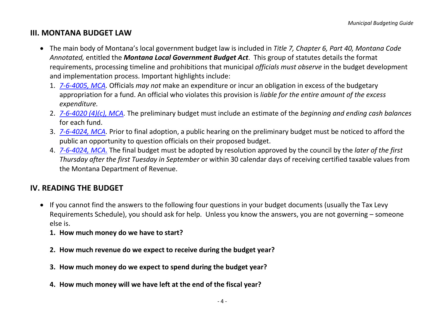# <span id="page-6-0"></span>**III. MONTANA BUDGET LAW**

- The main body of Montana's local government budget law is included in *Title 7, Chapter 6, Part 40, Montana Code Annotated,* entitled the *Montana Local Government Budget Act*. This group of statutes details the format requirements, processing timeline and prohibitions that municipal *officials must observe* in the budget development and implementation process. Important highlights include:
	- 1. *[7-6-4005, MCA.](http://data.opi.mt.gov/bills/mca/7/6/7-6-4005.htm)* Officials *may not* make an expenditure or incur an obligation in excess of the budgetary appropriation for a fund. An official who violates this provision is *liable for the entire amount of the excess expenditure.*
	- 2. *[7-6-4020 \(4\)\(c\), MCA.](http://data.opi.mt.gov/bills/mca/7/6/7-6-4020.htm)* The preliminary budget must include an estimate of the *beginning and ending cash balances* for each fund.
	- 3. *[7-6-4024, MCA.](http://data.opi.mt.gov/bills/mca/7/6/7-6-4024.htm)* Prior to final adoption, a public hearing on the preliminary budget must be noticed to afford the public an opportunity to question officials on their proposed budget.
	- 4. *[7-6-4024,](http://data.opi.mt.gov/bills/mca/7/6/7-6-4024.htm) MCA.* The final budget must be adopted by resolution approved by the council by the *later of the first Thursday after the first Tuesday in September* or within 30 calendar days of receiving certified taxable values from the Montana Department of Revenue.

# <span id="page-6-1"></span>**IV. READING THE BUDGET**

- If you cannot find the answers to the following four questions in your budget documents (usually the Tax Levy Requirements Schedule), you should ask for help. Unless you know the answers, you are not governing – someone else is.
	- **1. How much money do we have to start?**
	- **2. How much revenue do we expect to receive during the budget year?**
	- **3. How much money do we expect to spend during the budget year?**
	- **4. How much money will we have left at the end of the fiscal year?**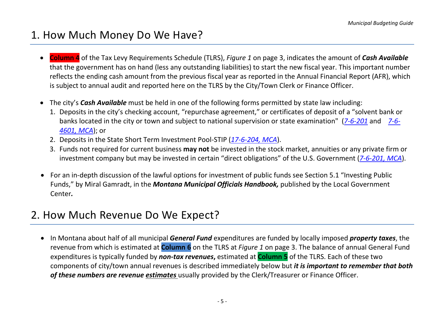# <span id="page-7-0"></span>1. How Much Money Do We Have?

- **Column 4** of the Tax Levy Requirements Schedule (TLRS), *Figure 1* on page 3, indicates the amount of *Cash Available* that the government has on hand (less any outstanding liabilities) to start the new fiscal year. This important number reflects the ending cash amount from the previous fiscal year as reported in the Annual Financial Report (AFR), which is subject to annual audit and reported here on the TLRS by the City/Town Clerk or Finance Officer.
- The city's *Cash Available* must be held in one of the following forms permitted by state law including:
	- 1. Deposits in the city's checking account, "repurchase agreement," or certificates of deposit of a "solvent bank or banks located in the city or town and subject to national supervision or state examination" (*[7-6-201](http://data.opi.mt.gov/bills/mca/7/6/7-6-201.htm)* and *[7-6-](http://data.opi.mt.gov/bills/mca/7/6/7-6-4601.htm) [4601, MCA](http://data.opi.mt.gov/bills/mca/7/6/7-6-4601.htm)*); or
	- 2. Deposits in the State Short Term Investment Pool-STIP (*[17-6-204, MCA](http://data.opi.mt.gov/bills/mca/17/6/17-6-204.htm)*).
	- 3. Funds not required for current business **may not** be invested in the stock market, annuities or any private firm or investment company but may be invested in certain "direct obligations" of the U.S. Government (*[7-6-201, MCA](http://data.opi.mt.gov/bills/mca/7/6/7-6-201.htm)*).
- For an in-depth discussion of the lawful options for investment of public funds see Section 5.1 "Investing Public Funds," by Miral Gamradt, in the *Montana Municipal Officials Handbook,* published by the Local Government Center*.*

# <span id="page-7-1"></span>2. How Much Revenue Do We Expect?

• In Montana about half of all municipal *General Fund* expenditures are funded by locally imposed *property taxes*, the revenue from which is estimated at **Column 6** on the TLRS at *Figure 1* on page 3. The balance of annual General Fund expenditures is typically funded by *non-tax revenues***,** estimated at **Column 5** of the TLRS. Each of these two components of city/town annual revenues is described immediately below but *it is important to remember that both of these numbers are revenue estimates* usually provided by the Clerk/Treasurer or Finance Officer.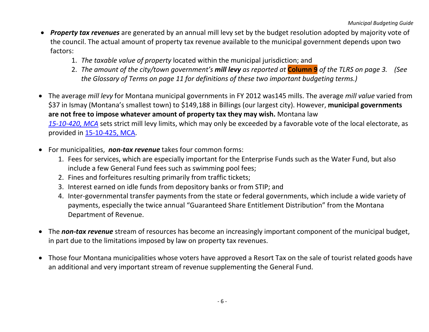- *Property tax revenues* are generated by an annual mill levy set by the budget resolution adopted by majority vote of the council. The actual amount of property tax revenue available to the municipal government depends upon two factors:
	- 1. *The taxable value of property* located within the municipal jurisdiction; and
	- 2. *The amount of the city/town government's mill levy as reported at* **Column 9** *of the TLRS on page 3. (See the Glossary of Terms on page 11 for definitions of these two important budgeting terms.)*
- The average *mill levy* for Montana municipal governments in FY 2012 was145 mills. The average *mill value* varied from \$37 in Ismay (Montana's smallest town) to \$149,188 in Billings (our largest city). However, **municipal governments are not free to impose whatever amount of property tax they may wish.** Montana law *[15-10-420, MCA](http://data.opi.mt.gov/bills/mca/15/10/15-10-420.htm)* sets strict mill levy limits, which may only be exceeded by a favorable vote of the local electorate, as provided in [15-10-425, MCA.](http://data.opi.mt.gov/bills/mca/15/10/15-10-425.htm)
- For municipalities, *non-tax revenue* takes four common forms:
	- 1. Fees for services, which are especially important for the Enterprise Funds such as the Water Fund, but also include a few General Fund fees such as swimming pool fees;
	- 2. Fines and forfeitures resulting primarily from traffic tickets;
	- 3. Interest earned on idle funds from depository banks or from STIP; and
	- 4. Inter-governmental transfer payments from the state or federal governments, which include a wide variety of payments, especially the twice annual "Guaranteed Share Entitlement Distribution" from the Montana Department of Revenue.
- The *non-tax revenue* stream of resources has become an increasingly important component of the municipal budget, in part due to the limitations imposed by law on property tax revenues.
- Those four Montana municipalities whose voters have approved a Resort Tax on the sale of tourist related goods have an additional and very important stream of revenue supplementing the General Fund.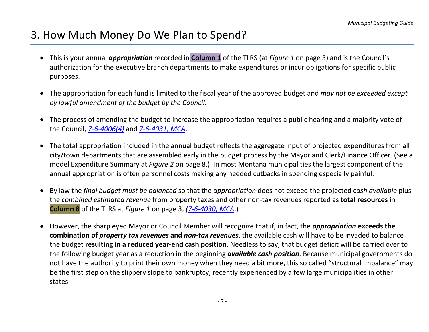# <span id="page-9-0"></span>3. How Much Money Do We Plan to Spend?

- This is your annual *appropriation* recorded in **Column 1** of the TLRS (at *Figure 1* on page 3) and is the Council's authorization for the executive branch departments to make expenditures or incur obligations for specific public purposes.
- The appropriation for each fund is limited to the fiscal year of the approved budget and *may not be exceeded except by lawful amendment of the budget by the Council.*
- The process of amending the budget to increase the appropriation requires a public hearing and a majority vote of the Council, *[7-6-4006\(4\)](http://data.opi.mt.gov/bills/mca/7/6/7-6-4006.htm)* and *[7-6-4031, MCA](http://data.opi.mt.gov/bills/mca/7/6/7-6-4031.htm)*.
- The total appropriation included in the annual budget reflects the aggregate input of projected expenditures from all city/town departments that are assembled early in the budget process by the Mayor and Clerk/Finance Officer. (See a model Expenditure Summary at *Figure 2* on page 8.) In most Montana municipalities the largest component of the annual appropriation is often personnel costs making any needed cutbacks in spending especially painful.
- By law the *final budget must be balanced* so that the *appropriation* does not exceed the projected c*ash available* plus the *combined estimated revenue* from property taxes and other non-tax revenues reported as **total resources** in **Column 8** of the TLRS at *Figure 1* on page 3, *[\(7-6-4030, MCA](http://data.opi.mt.gov/bills/mca/7/6/7-6-4030.htm)*.)
- However, the sharp eyed Mayor or Council Member will recognize that if, in fact, the *appropriation* **exceeds the combination of** *property tax revenues* **and** *non-tax revenues*, the available cash will have to be invaded to balance the budget **resulting in a reduced year-end cash position**. Needless to say, that budget deficit will be carried over to the following budget year as a reduction in the beginning *available cash position*. Because municipal governments do not have the authority to print their own money when they need a bit more, this so called "structural imbalance" may be the first step on the slippery slope to bankruptcy, recently experienced by a few large municipalities in other states.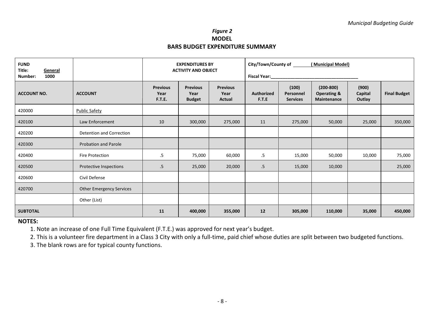# *Figure 2* **MODEL BARS BUDGET EXPENDITURE SUMMARY**

<span id="page-10-0"></span>

| <b>FUND</b><br>Title:<br>General<br>1000<br>Number: |                                 | <b>EXPENDITURES BY</b><br><b>ACTIVITY AND OBJECT</b> |                                          |                                   | City/Town/County of ______<br>(Municipal Model) |                                       |                                                               |                            |                     |
|-----------------------------------------------------|---------------------------------|------------------------------------------------------|------------------------------------------|-----------------------------------|-------------------------------------------------|---------------------------------------|---------------------------------------------------------------|----------------------------|---------------------|
| <b>ACCOUNT NO.</b>                                  | <b>ACCOUNT</b>                  | <b>Previous</b><br>Year<br>F.T.E.                    | <b>Previous</b><br>Year<br><b>Budget</b> | <b>Previous</b><br>Year<br>Actual | Fiscal Year:<br>Authorized<br>F.T.E             | (100)<br>Personnel<br><b>Services</b> | $(200 - 800)$<br><b>Operating &amp;</b><br><b>Maintenance</b> | (900)<br>Capital<br>Outlay | <b>Final Budget</b> |
| 420000                                              | <b>Public Safety</b>            |                                                      |                                          |                                   |                                                 |                                       |                                                               |                            |                     |
| 420100                                              | Law Enforcement                 | 10                                                   | 300,000                                  | 275,000                           | 11                                              | 275,000                               | 50,000                                                        | 25,000                     | 350,000             |
| 420200                                              | Detention and Correction        |                                                      |                                          |                                   |                                                 |                                       |                                                               |                            |                     |
| 420300                                              | <b>Probation and Parole</b>     |                                                      |                                          |                                   |                                                 |                                       |                                                               |                            |                     |
| 420400                                              | <b>Fire Protection</b>          | $.5\,$                                               | 75,000                                   | 60,000                            | $.5\,$                                          | 15,000                                | 50,000                                                        | 10,000                     | 75,000              |
| 420500                                              | Protective Inspections          | .5                                                   | 25,000                                   | 20,000                            | $.5\,$                                          | 15,000                                | 10,000                                                        |                            | 25,000              |
| 420600                                              | Civil Defense                   |                                                      |                                          |                                   |                                                 |                                       |                                                               |                            |                     |
| 420700                                              | <b>Other Emergency Services</b> |                                                      |                                          |                                   |                                                 |                                       |                                                               |                            |                     |
|                                                     | Other (List)                    |                                                      |                                          |                                   |                                                 |                                       |                                                               |                            |                     |
| <b>SUBTOTAL</b>                                     |                                 | 11                                                   | 400,000                                  | 355,000                           | 12                                              | 305,000                               | 110,000                                                       | 35,000                     | 450,000             |

## **NOTES:**

1. Note an increase of one Full Time Equivalent (F.T.E.) was approved for next year's budget.

2. This is a volunteer fire department in a Class 3 City with only a full-time, paid chief whose duties are split between two budgeted functions.

3. The blank rows are for typical county functions.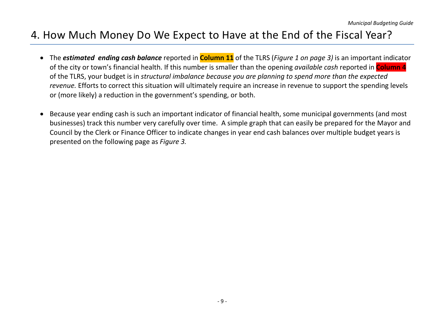# <span id="page-11-0"></span>4. How Much Money Do We Expect to Have at the End of the Fiscal Year?

- The *estimated ending cash balance* reported in **Column 11** of the TLRS (*Figure 1 on page 3)* is an important indicator of the city or town's financial health. If this number is smaller than the opening *available cash* reported in **Column 4** of the TLRS, your budget is in *structural imbalance because you are planning to spend more than the expected revenue.* Efforts to correct this situation will ultimately require an increase in revenue to support the spending levels or (more likely) a reduction in the government's spending, or both.
- Because year ending cash is such an important indicator of financial health, some municipal governments (and most businesses) track this number very carefully over time. A simple graph that can easily be prepared for the Mayor and Council by the Clerk or Finance Officer to indicate changes in year end cash balances over multiple budget years is presented on the following page as *Figure 3.*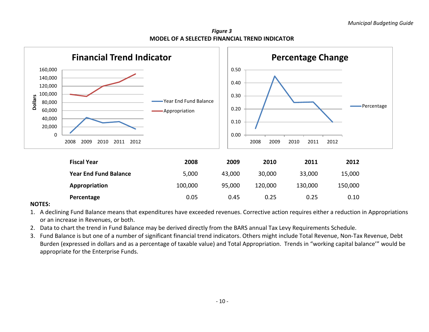*Figure 3* **MODEL OF A SELECTED FINANCIAL TREND INDICATOR**



#### **NOTES:**

- 1. A declining Fund Balance means that expenditures have exceeded revenues. Corrective action requires either a reduction in Appropriations or an increase in Revenues, or both.
- 2. Data to chart the trend in Fund Balance may be derived directly from the BARS annual Tax Levy Requirements Schedule.
- 3. Fund Balance is but one of a number of significant financial trend indicators. Others might include Total Revenue, Non-Tax Revenue, Debt Burden (expressed in dollars and as a percentage of taxable value) and Total Appropriation. Trends in "working capital balance'" would be appropriate for the Enterprise Funds.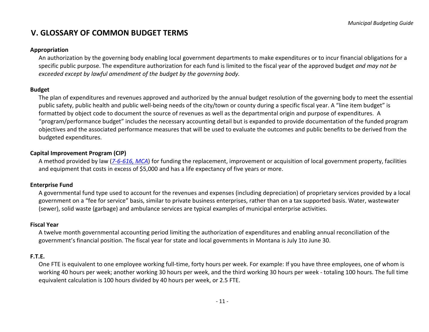# **V. GLOSSARY OF COMMON BUDGET TERMS**

#### **Appropriation**

An authorization by the governing body enabling local government departments to make expenditures or to incur financial obligations for a specific public purpose. The expenditure authorization for each fund is limited to the fiscal year of the approved budget *and may not be exceeded except by lawful amendment of the budget by the governing body.*

#### **Budget**

The plan of expenditures and revenues approved and authorized by the annual budget resolution of the governing body to meet the essential public safety, public health and public well-being needs of the city/town or county during a specific fiscal year. A "line item budget" is formatted by object code to document the source of revenues as well as the departmental origin and purpose of expenditures. A "program/performance budget" includes the necessary accounting detail but is expanded to provide documentation of the funded program objectives and the associated performance measures that will be used to evaluate the outcomes and public benefits to be derived from the budgeted expenditures.

## **Capital Improvement Program (CIP)**

A method provided by law (*[7-6-616, MCA](http://data.opi.mt.gov/bills/mca/7/6/7-6-616.htm)*) for funding the replacement, improvement or acquisition of local government property, facilities and equipment that costs in excess of \$5,000 and has a life expectancy of five years or more.

#### **Enterprise Fund**

A governmental fund type used to account for the revenues and expenses (including depreciation) of proprietary services provided by a local government on a "fee for service" basis, similar to private business enterprises, rather than on a tax supported basis. Water, wastewater (sewer), solid waste (garbage) and ambulance services are typical examples of municipal enterprise activities.

#### **Fiscal Year**

A twelve month governmental accounting period limiting the authorization of expenditures and enabling annual reconciliation of the government's financial position. The fiscal year for state and local governments in Montana is July 1to June 30.

#### **F.T.E.**

One FTE is equivalent to one employee working full-time, forty hours per week. For example: If you have three employees, one of whom is working 40 hours per week; another working 30 hours per week, and the third working 30 hours per week - totaling 100 hours. The full time equivalent calculation is 100 hours divided by 40 hours per week, or 2.5 FTE.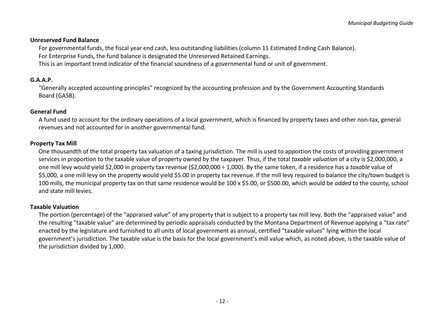#### **Unreserved Fund Balance**

For governmental funds, the fiscal year end cash, less outstanding liabilities (column 11 Estimated Ending Cash Balance).

For Enterprise Funds, the fund balance is designated the Unreserved Retained Earnings.

This is an important trend indicator of the financial soundness of a governmental fund or unit of government.

# **G.A.A.P.**

"Generally accepted accounting principles" recognized by the accounting profession and by the Government Accounting Standards Board (GASB).

# **General Fund**

A fund used to account for the ordinary operations of a local government, which is financed by property taxes and other non-tax, general revenues and not accounted for in another governmental fund.

## **Property Tax Mill**

One thousandth of the total property tax valuation of a taxing jurisdiction. The mill is used to apportion the costs of providing government services in proportion to the taxable value of property owned by the taxpayer. Thus, if the total *taxable valuation* of a city is \$2,000,000, a one mill levy would yield \$2,000 in property tax revenue (\$2,000,000 ÷ 1,000). By the same token, if a residence has a *taxable* value of \$5,000, a one mill levy on the property would yield \$5.00 in property tax revenue. If the mill levy required to balance the city/town budget is 100 mills, the municipal property tax on that same residence would be 100 x \$5.00, or \$500.00, which would be *added* to the county, school and state mill levies.

# **Taxable Valuation**

The portion (percentage) of the "appraised value" of any property that is subject to a property tax mill levy. Both the "appraised value" and the resulting "taxable value" are determined by periodic appraisals conducted by the Montana Department of Revenue applying a "tax rate" enacted by the legislature and furnished to all units of local government as annual, certified "taxable values" lying within the local government's jurisdiction. The taxable value is the basis for the local government's mill value which, as noted above, is the taxable value of the jurisdiction divided by 1,000.